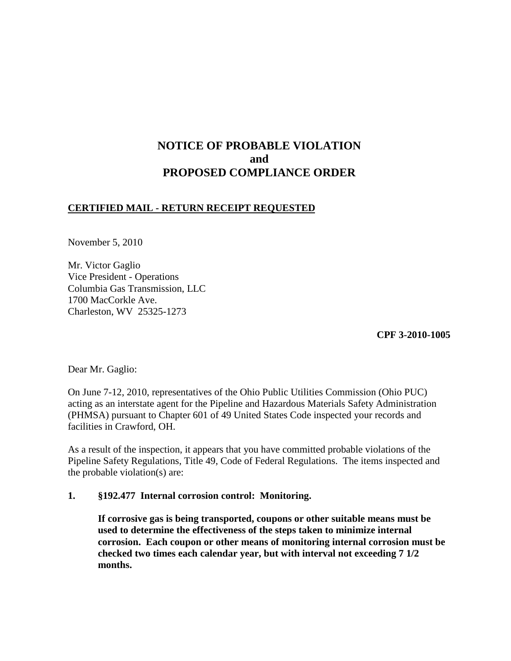# **NOTICE OF PROBABLE VIOLATION and PROPOSED COMPLIANCE ORDER**

# **CERTIFIED MAIL - RETURN RECEIPT REQUESTED**

November 5, 2010

Mr. Victor Gaglio Vice President - Operations Columbia Gas Transmission, LLC 1700 MacCorkle Ave. Charleston, WV 25325-1273

**CPF 3-2010-1005**

Dear Mr. Gaglio:

On June 7-12, 2010, representatives of the Ohio Public Utilities Commission (Ohio PUC) acting as an interstate agent for the Pipeline and Hazardous Materials Safety Administration (PHMSA) pursuant to Chapter 601 of 49 United States Code inspected your records and facilities in Crawford, OH.

As a result of the inspection, it appears that you have committed probable violations of the Pipeline Safety Regulations, Title 49, Code of Federal Regulations. The items inspected and the probable violation(s) are:

## **1. §192.477 Internal corrosion control: Monitoring.**

**If corrosive gas is being transported, coupons or other suitable means must be used to determine the effectiveness of the steps taken to minimize internal corrosion. Each coupon or other means of monitoring internal corrosion must be checked two times each calendar year, but with interval not exceeding 7 1/2 months.**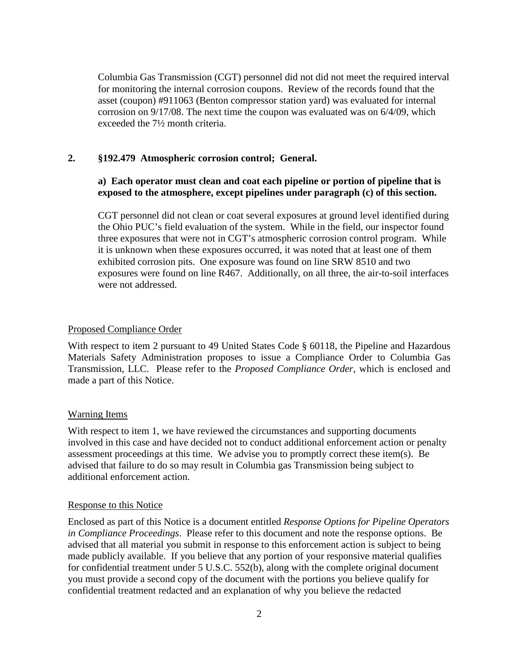Columbia Gas Transmission (CGT) personnel did not did not meet the required interval for monitoring the internal corrosion coupons. Review of the records found that the asset (coupon) #911063 (Benton compressor station yard) was evaluated for internal corrosion on 9/17/08. The next time the coupon was evaluated was on 6/4/09, which exceeded the 7½ month criteria.

## **2. §192.479 Atmospheric corrosion control; General.**

# **a) Each operator must clean and coat each pipeline or portion of pipeline that is exposed to the atmosphere, except pipelines under paragraph (c) of this section.**

CGT personnel did not clean or coat several exposures at ground level identified during the Ohio PUC's field evaluation of the system. While in the field, our inspector found three exposures that were not in CGT's atmospheric corrosion control program. While it is unknown when these exposures occurred, it was noted that at least one of them exhibited corrosion pits. One exposure was found on line SRW 8510 and two exposures were found on line R467. Additionally, on all three, the air-to-soil interfaces were not addressed.

#### Proposed Compliance Order

With respect to item 2 pursuant to 49 United States Code § 60118, the Pipeline and Hazardous Materials Safety Administration proposes to issue a Compliance Order to Columbia Gas Transmission, LLC. Please refer to the *Proposed Compliance Order*, which is enclosed and made a part of this Notice.

### Warning Items

With respect to item 1, we have reviewed the circumstances and supporting documents involved in this case and have decided not to conduct additional enforcement action or penalty assessment proceedings at this time. We advise you to promptly correct these item(s). Be advised that failure to do so may result in Columbia gas Transmission being subject to additional enforcement action.

### Response to this Notice

Enclosed as part of this Notice is a document entitled *Response Options for Pipeline Operators in Compliance Proceedings*. Please refer to this document and note the response options. Be advised that all material you submit in response to this enforcement action is subject to being made publicly available. If you believe that any portion of your responsive material qualifies for confidential treatment under 5 U.S.C. 552(b), along with the complete original document you must provide a second copy of the document with the portions you believe qualify for confidential treatment redacted and an explanation of why you believe the redacted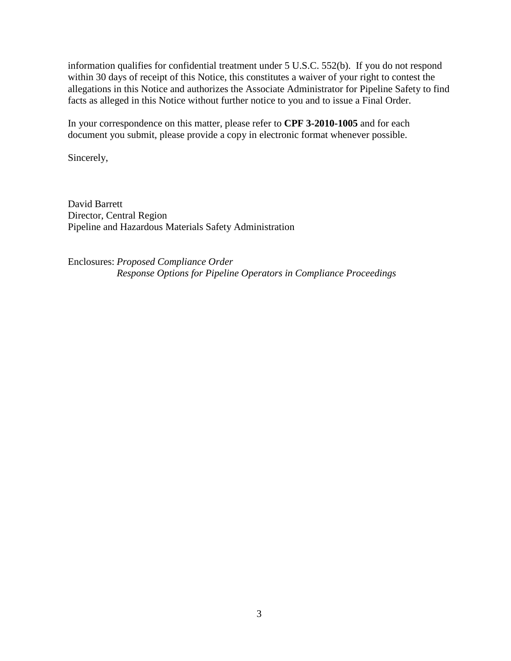information qualifies for confidential treatment under 5 U.S.C. 552(b). If you do not respond within 30 days of receipt of this Notice, this constitutes a waiver of your right to contest the allegations in this Notice and authorizes the Associate Administrator for Pipeline Safety to find facts as alleged in this Notice without further notice to you and to issue a Final Order.

In your correspondence on this matter, please refer to **CPF 3-2010-1005** and for each document you submit, please provide a copy in electronic format whenever possible.

Sincerely,

David Barrett Director, Central Region Pipeline and Hazardous Materials Safety Administration

Enclosures: *Proposed Compliance Order Response Options for Pipeline Operators in Compliance Proceedings*